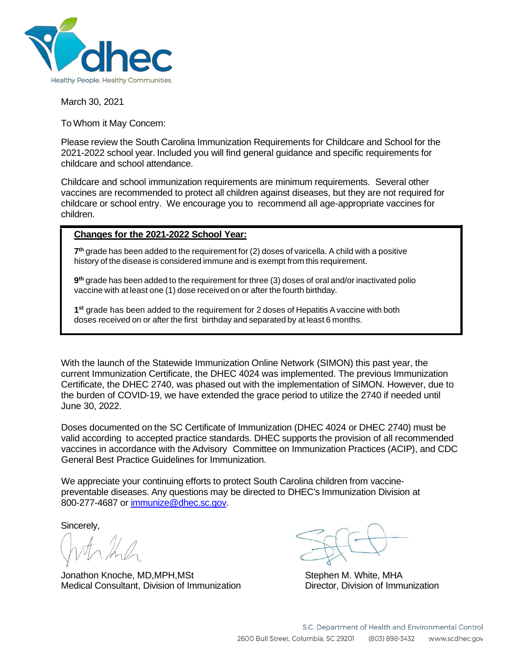

March 30, 2021

To Whom it May Concern:

Please review the South Carolina Immunization Requirements for Childcare and School for the 2021-2022 school year. Included you will find general guidance and specific requirements for childcare and school attendance.

Childcare and school immunization requirements are minimum requirements. Several other vaccines are recommended to protect all children against diseases, but they are not required for childcare or school entry. We encourage you to recommend all age-appropriate vaccines for children.

#### **Changes for the 2021-2022 School Year:**

**7th** grade has been added to the requirement for (2) doses of varicella. A child with a positive history of the disease is considered immune and is exempt from this requirement.

**9th** grade has been added to the requirement for three (3) doses of oral and/or inactivated polio vaccine with at least one (1) dose received on or after the fourth birthday.

**1st** grade has been added to the requirement for 2 doses of Hepatitis Avaccine with both doses received on or after the first birthday and separated by at least 6 months.

With the launch of the Statewide Immunization Online Network (SIMON) this past year, the current Immunization Certificate, the DHEC 4024 was implemented. The previous Immunization Certificate, the DHEC 2740, was phased out with the implementation of SIMON. However, due to the burden of COVID-19, we have extended the grace period to utilize the 2740 if needed until June 30, 2022.

Doses documented on the SC Certificate of Immunization (DHEC 4024 or DHEC 2740) must be valid according to accepted practice standards. DHEC supports the provision of all recommended vaccines in accordance with the Advisory Committee on Immunization Practices (ACIP), and CDC General Best Practice Guidelines for Immunization.

We appreciate your continuing efforts to protect South Carolina children from vaccinepreventable diseases. Any questions may be directed to DHEC's Immunization Division at 800-277-4687 or [immunize@dhec.sc.gov.](mailto:immunize@dhec.sc.gov)

Sincerely,

Jonathon Knoche, MD,MPH,MSt Stephen M, White, MHA Medical Consultant, Division of Immunization Director, Division of Immunization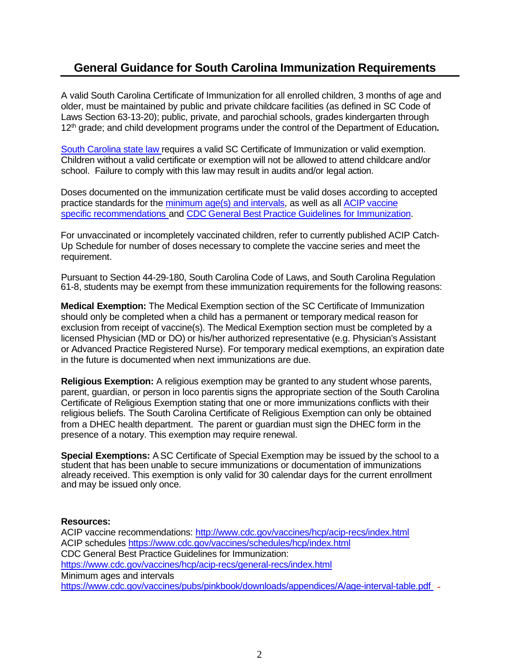### **General Guidance for South Carolina Immunization Requirements**

A valid South Carolina Certificate of Immunization for all enrolled children, 3 months of age and older, must be maintained by public and private childcare facilities (as defined in SC Code of Laws Section 63-13-20); public, private, and parochial schools, grades kindergarten through 12th grade; and child development programs under the control of the Department of Education**.**

South Carolina state law requires a valid SC Certificate of Immunization or valid exemption. Children without a valid certificate or exemption will not be allowed to attend childcare and/or school. Failure to comply with this law may result in audits and/or legal action.

Doses documented on the immunization certificate must be valid doses according to accepted practice standards for the minimum age(s) and intervals, as well as all ACIP vaccine specific recommendations and CDC General Best Practice Guidelines for Immunization.

For unvaccinated or incompletely vaccinated children, refer to currently published ACIP Catch-Up Schedule for number of doses necessary to complete the vaccine series and meet the requirement.

Pursuant to Section 44-29-180, South Carolina Code of Laws, and South Carolina Regulation 61-8, students may be exempt from these immunization requirements for the following reasons:

**Medical Exemption:** The Medical Exemption section of the SC Certificate of Immunization should only be completed when a child has a permanent or temporary medical reason for exclusion from receipt of vaccine(s). The Medical Exemption section must be completed by a licensed Physician (MD or DO) or his/her authorized representative (e.g. Physician's Assistant or Advanced Practice Registered Nurse). For temporary medical exemptions, an expiration date in the future is documented when next immunizations are due.

**Religious Exemption:** A religious exemption may be granted to any student whose parents, parent, guardian, or person in loco parentis signs the appropriate section of the South Carolina Certificate of Religious Exemption stating that one or more immunizations conflicts with their religious beliefs. The South Carolina Certificate of Religious Exemption can only be obtained from a DHEC health department. The parent or guardian must sign the DHEC form in the presence of a notary. This exemption may require renewal.

**Special Exemptions:** ASC Certificate of Special Exemption may be issued by the school to a student that has been unable to secure immunizations or documentation of immunizations already received. This exemption is only valid for 30 calendar days for the current enrollment and may be issued only once.

#### **Resources:**

ACIP vaccine recommendations: <http://www.cdc.gov/vaccines/hcp/acip-recs/index.html> ACIP schedules https:/[/www.cdc.gov/vaccines/schedules/hcp/index.html](http://www.cdc.gov/vaccines/schedules/hcp/index.html) CDC General Best Practice Guidelines for Immunization: https:/[/www.cdc.gov/vaccines/hcp/acip-recs/general-recs/index.html](http://www.cdc.gov/vaccines/hcp/acip-recs/general-recs/index.html) Minimum ages and intervals https:/[/www.cdc.gov/vaccines/pubs/pinkbook/downloads/appendices/A/age-interval-table.pdf](http://www.cdc.gov/vaccines/pubs/pinkbook/downloads/appendices/A/age-interval-table.pdf) -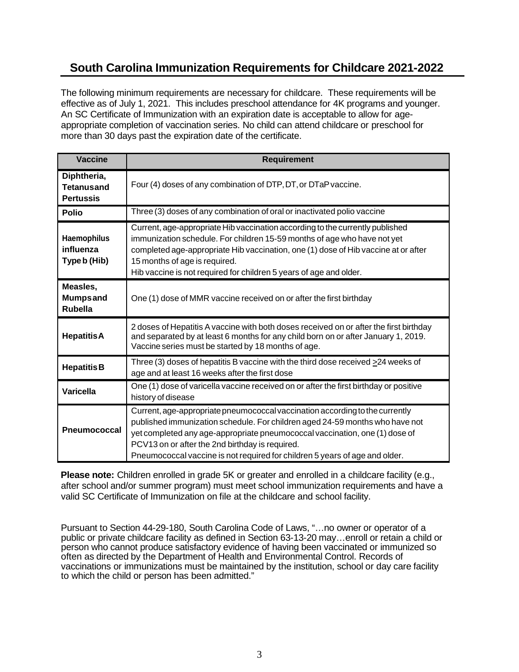## **South Carolina Immunization Requirements for Childcare 2021-2022**

The following minimum requirements are necessary for childcare. These requirements will be effective as of July 1, 2021. This includes preschool attendance for 4K programs and younger. An SC Certificate of Immunization with an expiration date is acceptable to allow for ageappropriate completion of vaccination series. No child can attend childcare or preschool for more than 30 days past the expiration date of the certificate.

| <b>Vaccine</b>                                       | <b>Requirement</b>                                                                                                                                                                                                                                                                                                                                                            |  |
|------------------------------------------------------|-------------------------------------------------------------------------------------------------------------------------------------------------------------------------------------------------------------------------------------------------------------------------------------------------------------------------------------------------------------------------------|--|
| Diphtheria,<br><b>Tetanusand</b><br><b>Pertussis</b> | Four (4) doses of any combination of DTP, DT, or DTaP vaccine.                                                                                                                                                                                                                                                                                                                |  |
| <b>Polio</b>                                         | Three (3) doses of any combination of oral or inactivated polio vaccine                                                                                                                                                                                                                                                                                                       |  |
| Haemophilus<br>influenza<br>Type b (Hib)             | Current, age-appropriate Hib vaccination according to the currently published<br>immunization schedule. For children 15-59 months of age who have not yet<br>completed age-appropriate Hib vaccination, one (1) dose of Hib vaccine at or after<br>15 months of age is required.<br>Hib vaccine is not required for children 5 years of age and older.                        |  |
| Measles,<br><b>Mumpsand</b><br><b>Rubella</b>        | One (1) dose of MMR vaccine received on or after the first birthday                                                                                                                                                                                                                                                                                                           |  |
| <b>HepatitisA</b>                                    | 2 doses of Hepatitis A vaccine with both doses received on or after the first birthday<br>and separated by at least 6 months for any child born on or after January 1, 2019.<br>Vaccine series must be started by 18 months of age.                                                                                                                                           |  |
| <b>Hepatitis B</b>                                   | Three (3) doses of hepatitis B vaccine with the third dose received $\geq$ 24 weeks of<br>age and at least 16 weeks after the first dose                                                                                                                                                                                                                                      |  |
| <b>Varicella</b>                                     | One (1) dose of varicella vaccine received on or after the first birthday or positive<br>history of disease                                                                                                                                                                                                                                                                   |  |
| <b>Pneumococcal</b>                                  | Current, age-appropriate pneumococcal vaccination according to the currently<br>published immunization schedule. For children aged 24-59 months who have not<br>yet completed any age-appropriate pneumococcal vaccination, one (1) dose of<br>PCV13 on or after the 2nd birthday is required.<br>Pneumococcal vaccine is not required for children 5 years of age and older. |  |

**Please note:** Children enrolled in grade 5K or greater and enrolled in a childcare facility (e.g., after school and/or summer program) must meet school immunization requirements and have a valid SC Certificate of Immunization on file at the childcare and school facility.

Pursuant to Section 44-29-180, South Carolina Code of Laws, "…no owner or operator of a public or private childcare facility as defined in Section 63-13-20 may…enroll or retain a child or person who cannot produce satisfactory evidence of having been vaccinated or immunized so often as directed by the Department of Health and Environmental Control. Records of vaccinations or immunizations must be maintained by the institution, school or day care facility to which the child or person has been admitted."